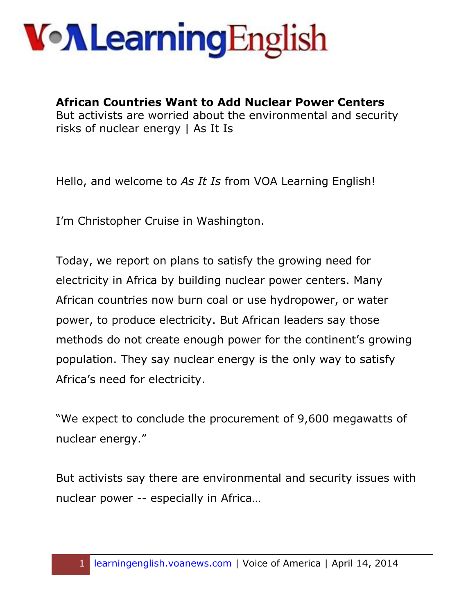**African Countries Want to Add Nuclear Power Centers**  But activists are worried about the environmental and security risks of nuclear energy | As It Is

Hello, and welcome to *As It Is* from VOA Learning English!

I'm Christopher Cruise in Washington.

Today, we report on plans to satisfy the growing need for electricity in Africa by building nuclear power centers. Many African countries now burn coal or use hydropower, or water power, to produce electricity. But African leaders say those methods do not create enough power for the continent's growing population. They say nuclear energy is the only way to satisfy Africa's need for electricity.

"We expect to conclude the procurement of 9,600 megawatts of nuclear energy."

But activists say there are environmental and security issues with nuclear power -- especially in Africa…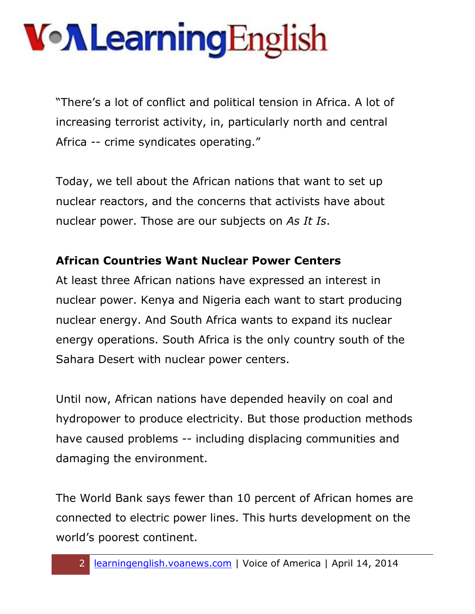"There's a lot of conflict and political tension in Africa. A lot of increasing terrorist activity, in, particularly north and central Africa -- crime syndicates operating."

Today, we tell about the African nations that want to set up nuclear reactors, and the concerns that activists have about nuclear power. Those are our subjects on *As It Is*.

#### **African Countries Want Nuclear Power Centers**

At least three African nations have expressed an interest in nuclear power. Kenya and Nigeria each want to start producing nuclear energy. And South Africa wants to expand its nuclear energy operations. South Africa is the only country south of the Sahara Desert with nuclear power centers.

Until now, African nations have depended heavily on coal and hydropower to produce electricity. But those production methods have caused problems -- including displacing communities and damaging the environment.

The World Bank says fewer than 10 percent of African homes are connected to electric power lines. This hurts development on the world's poorest continent.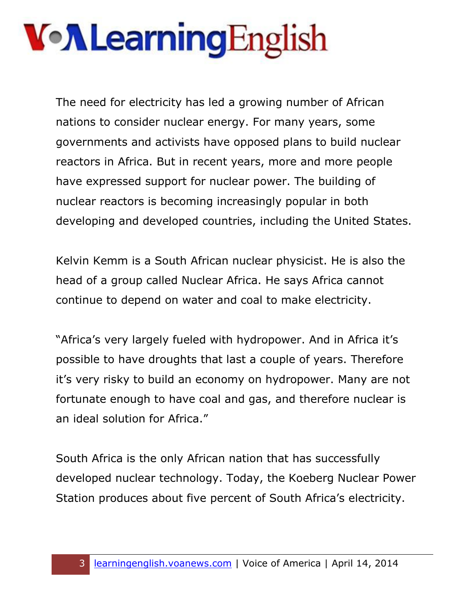The need for electricity has led a growing number of African nations to consider nuclear energy. For many years, some governments and activists have opposed plans to build nuclear reactors in Africa. But in recent years, more and more people have expressed support for nuclear power. The building of nuclear reactors is becoming increasingly popular in both developing and developed countries, including the United States.

Kelvin Kemm is a South African nuclear physicist. He is also the head of a group called Nuclear Africa. He says Africa cannot continue to depend on water and coal to make electricity.

"Africa's very largely fueled with hydropower. And in Africa it's possible to have droughts that last a couple of years. Therefore it's very risky to build an economy on hydropower. Many are not fortunate enough to have coal and gas, and therefore nuclear is an ideal solution for Africa."

South Africa is the only African nation that has successfully developed nuclear technology. Today, the Koeberg Nuclear Power Station produces about five percent of South Africa's electricity.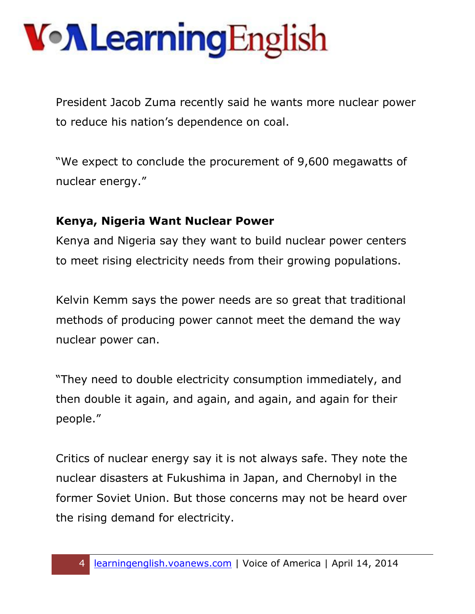President Jacob Zuma recently said he wants more nuclear power to reduce his nation's dependence on coal.

"We expect to conclude the procurement of 9,600 megawatts of nuclear energy."

#### **Kenya, Nigeria Want Nuclear Power**

Kenya and Nigeria say they want to build nuclear power centers to meet rising electricity needs from their growing populations.

Kelvin Kemm says the power needs are so great that traditional methods of producing power cannot meet the demand the way nuclear power can.

"They need to double electricity consumption immediately, and then double it again, and again, and again, and again for their people."

Critics of nuclear energy say it is not always safe. They note the nuclear disasters at Fukushima in Japan, and Chernobyl in the former Soviet Union. But those concerns may not be heard over the rising demand for electricity.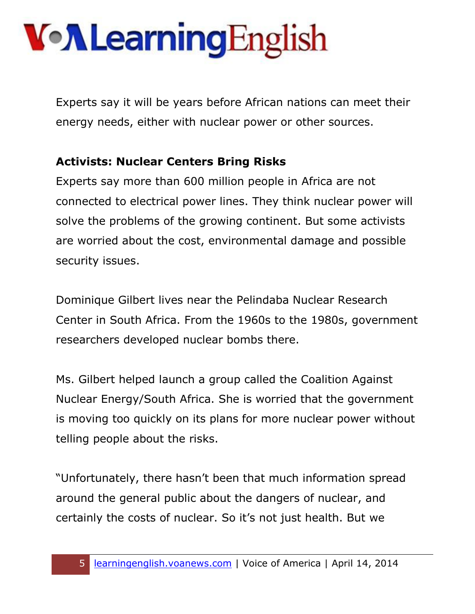Experts say it will be years before African nations can meet their energy needs, either with nuclear power or other sources.

#### **Activists: Nuclear Centers Bring Risks**

Experts say more than 600 million people in Africa are not connected to electrical power lines. They think nuclear power will solve the problems of the growing continent. But some activists are worried about the cost, environmental damage and possible security issues.

Dominique Gilbert lives near the Pelindaba Nuclear Research Center in South Africa. From the 1960s to the 1980s, government researchers developed nuclear bombs there.

Ms. Gilbert helped launch a group called the Coalition Against Nuclear Energy/South Africa. She is worried that the government is moving too quickly on its plans for more nuclear power without telling people about the risks.

"Unfortunately, there hasn't been that much information spread around the general public about the dangers of nuclear, and certainly the costs of nuclear. So it's not just health. But we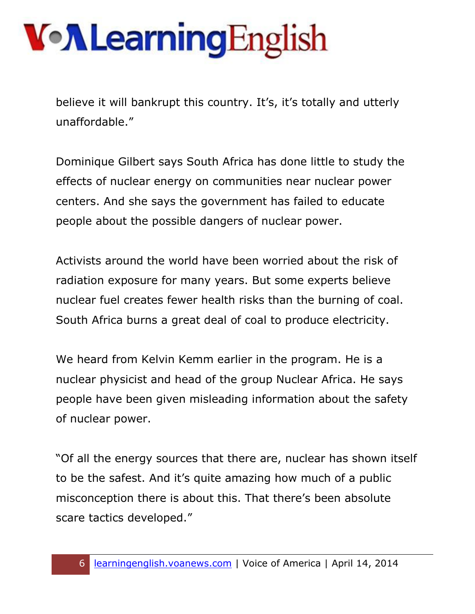believe it will bankrupt this country. It's, it's totally and utterly unaffordable."

Dominique Gilbert says South Africa has done little to study the effects of nuclear energy on communities near nuclear power centers. And she says the government has failed to educate people about the possible dangers of nuclear power.

Activists around the world have been worried about the risk of radiation exposure for many years. But some experts believe nuclear fuel creates fewer health risks than the burning of coal. South Africa burns a great deal of coal to produce electricity.

We heard from Kelvin Kemm earlier in the program. He is a nuclear physicist and head of the group Nuclear Africa. He says people have been given misleading information about the safety of nuclear power.

"Of all the energy sources that there are, nuclear has shown itself to be the safest. And it's quite amazing how much of a public misconception there is about this. That there's been absolute scare tactics developed."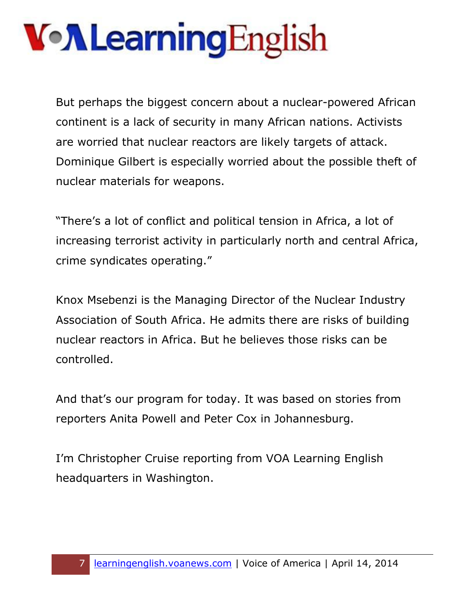But perhaps the biggest concern about a nuclear-powered African continent is a lack of security in many African nations. Activists are worried that nuclear reactors are likely targets of attack. Dominique Gilbert is especially worried about the possible theft of nuclear materials for weapons.

"There's a lot of conflict and political tension in Africa, a lot of increasing terrorist activity in particularly north and central Africa, crime syndicates operating."

Knox Msebenzi is the Managing Director of the Nuclear Industry Association of South Africa. He admits there are risks of building nuclear reactors in Africa. But he believes those risks can be controlled.

And that's our program for today. It was based on stories from reporters Anita Powell and Peter Cox in Johannesburg.

I'm Christopher Cruise reporting from VOA Learning English headquarters in Washington.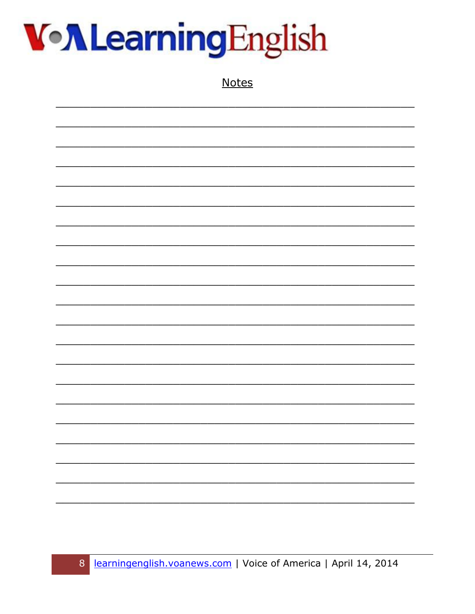

**Notes**